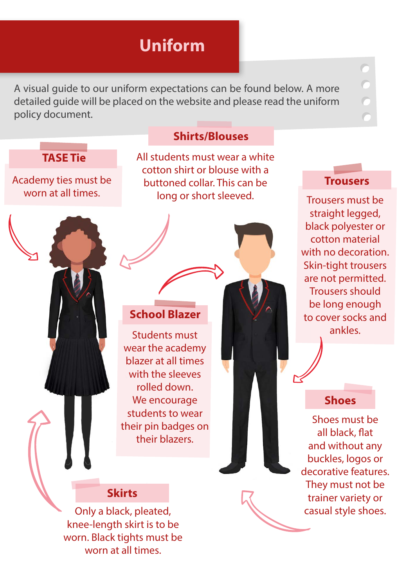A visual guide to our uniform expectations can be found below. A more detailed guide will be placed on the website and please read the uniform policy document.

## **TASE Tie**

Academy ties must be worn at all times.

### **Shirts/Blouses**

All students must wear a white cotton shirt or blouse with a buttoned collar. This can be long or short sleeved.

### **School Blazer**

Students must ankles. wear the academy blazer at all times with the sleeves rolled down. We encourage students to wear their pin badges on their blazers.

#### **Trousers**

Trousers must be straight legged, black polyester or cotton material with no decoration. Skin-tight trousers are not permitted. Trousers should be long enough to cover socks and

## **Shoes**

Shoes must be all black, flat and without any buckles, logos or decorative features. They must not be trainer variety or casual style shoes.

### **Skirts**

Only a black, pleated, knee-length skirt is to be worn. Black tights must be worn at all times.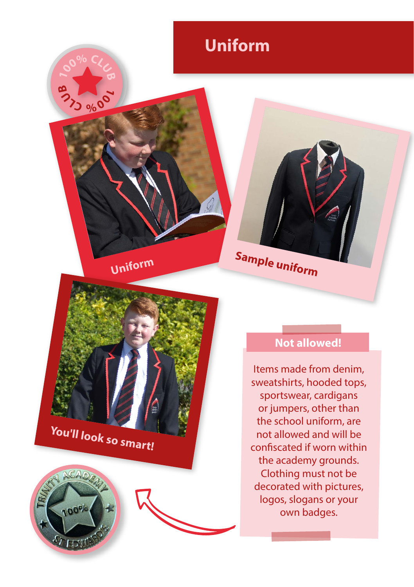

**1D** 00% CL<sub>C</sub>

**1**<sub>0</sub> 000 000

**Sample uniform** 

**You'll look so smart!**



## **Not allowed!**

Items made from denim, sweatshirts, hooded tops, sportswear, cardigans or jumpers, other than the school uniform, are not allowed and will be confiscated if worn within the academy grounds. Clothing must not be decorated with pictures, logos, slogans or your own badges.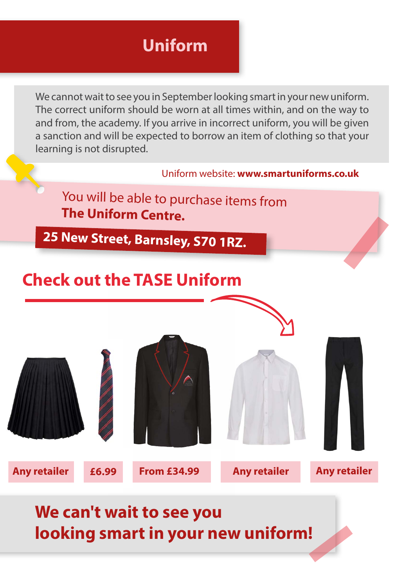We cannot wait to see you in September looking smart in your new uniform. The correct uniform should be worn at all times within, and on the way to and from, the academy. If you arrive in incorrect uniform, you will be given a sanction and will be expected to borrow an item of clothing so that your learning is not disrupted.



## **We can't wait to see you looking smart in your new uniform!**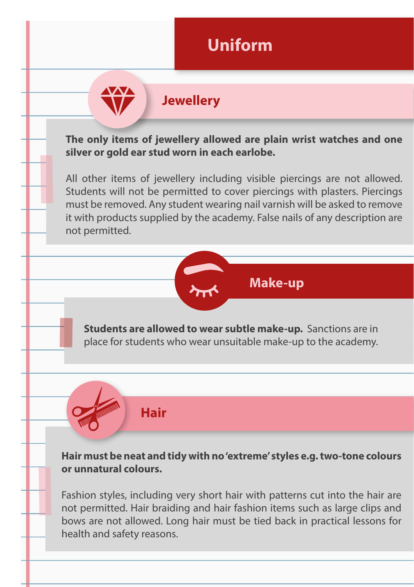## **Jewellery**

**The only items of jewellery allowed are plain wrist watches and one silver or gold ear stud worn in each earlobe.** 

All other items of jewellery including visible piercings are not allowed. Students will not be permitted to cover piercings with plasters. Piercings must be removed. Any student wearing nail varnish will be asked to remove it with products supplied by the academy. False nails of any description are not permitted.

**Make-up**

**Students are allowed to wear subtle make-up.** Sanctions are in place for students who wear unsuitable make-up to the academy.

**Hair must be neat and tidy with no 'extreme' styles e.g. two-tone colours or unnatural colours.** 

**Hair**

Fashion styles, including very short hair with patterns cut into the hair are not permitted. Hair braiding and hair fashion items such as large clips and bows are not allowed. Long hair must be tied back in practical lessons for health and safety reasons.